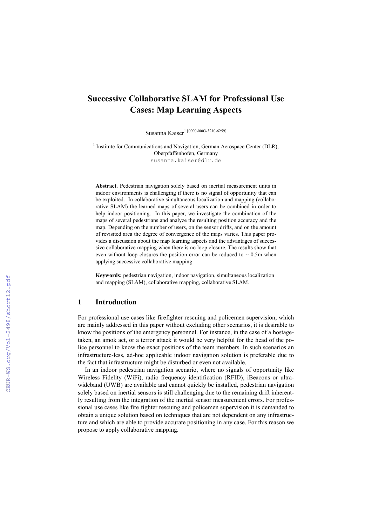# Successive Collaborative SLAM for Professional Use Cases: Map Learning Aspects

Susanna Kaiser<sup>1 [0000-0003-3210-6259]</sup>

<sup>1</sup> Institute for Communications and Navigation, German Aerospace Center (DLR), Oberpfaffenhofen, Germany susanna.kaiser@dlr.de

Abstract. Pedestrian navigation solely based on inertial measurement units in indoor environments is challenging if there is no signal of opportunity that can be exploited. In collaborative simultaneous localization and mapping (collaborative SLAM) the learned maps of several users can be combined in order to help indoor positioning. In this paper, we investigate the combination of the maps of several pedestrians and analyze the resulting position accuracy and the map. Depending on the number of users, on the sensor drifts, and on the amount of revisited area the degree of convergence of the maps varies. This paper provides a discussion about the map learning aspects and the advantages of successive collaborative mapping when there is no loop closure. The results show that even without loop closures the position error can be reduced to  $\sim 0.5$ m when applying successive collaborative mapping.

Keywords: pedestrian navigation, indoor navigation, simultaneous localization and mapping (SLAM), collaborative mapping, collaborative SLAM.

## 1 Introduction

For professional use cases like firefighter rescuing and policemen supervision, which are mainly addressed in this paper without excluding other scenarios, it is desirable to know the positions of the emergency personnel. For instance, in the case of a hostagetaken, an amok act, or a terror attack it would be very helpful for the head of the police personnel to know the exact positions of the team members. In such scenarios an infrastructure-less, ad-hoc applicable indoor navigation solution is preferable due to the fact that infrastructure might be disturbed or even not available.

In an indoor pedestrian navigation scenario, where no signals of opportunity like Wireless Fidelity (WiFi), radio frequency identification (RFID), iBeacons or ultrawideband (UWB) are available and cannot quickly be installed, pedestrian navigation solely based on inertial sensors is still challenging due to the remaining drift inherently resulting from the integration of the inertial sensor measurement errors. For professional use cases like fire fighter rescuing and policemen supervision it is demanded to obtain a unique solution based on techniques that are not dependent on any infrastructure and which are able to provide accurate positioning in any case. For this reason we propose to apply collaborative mapping.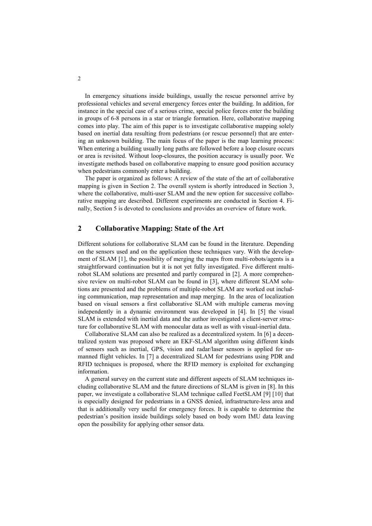In emergency situations inside buildings, usually the rescue personnel arrive by professional vehicles and several emergency forces enter the building. In addition, for instance in the special case of a serious crime, special police forces enter the building in groups of 6-8 persons in a star or triangle formation. Here, collaborative mapping comes into play. The aim of this paper is to investigate collaborative mapping solely based on inertial data resulting from pedestrians (or rescue personnel) that are entering an unknown building. The main focus of the paper is the map learning process: When entering a building usually long paths are followed before a loop closure occurs or area is revisited. Without loop-closures, the position accuracy is usually poor. We investigate methods based on collaborative mapping to ensure good position accuracy when pedestrians commonly enter a building.

The paper is organized as follows: A review of the state of the art of collaborative mapping is given in Section 2. The overall system is shortly introduced in Section 3, where the collaborative, multi-user SLAM and the new option for successive collaborative mapping are described. Different experiments are conducted in Section 4. Finally, Section 5 is devoted to conclusions and provides an overview of future work.

## 2 Collaborative Mapping: State of the Art

Different solutions for collaborative SLAM can be found in the literature. Depending on the sensors used and on the application these techniques vary. With the development of SLAM [1], the possibility of merging the maps from multi-robots/agents is a straightforward continuation but it is not yet fully investigated. Five different multirobot SLAM solutions are presented and partly compared in [2]. A more comprehensive review on multi-robot SLAM can be found in [3], where different SLAM solutions are presented and the problems of multiple-robot SLAM are worked out including communication, map representation and map merging. In the area of localization based on visual sensors a first collaborative SLAM with multiple cameras moving independently in a dynamic environment was developed in [4]. In [5] the visual SLAM is extended with inertial data and the author investigated a client-server structure for collaborative SLAM with monocular data as well as with visual-inertial data.

Collaborative SLAM can also be realized as a decentralized system. In [6] a decentralized system was proposed where an EKF-SLAM algorithm using different kinds of sensors such as inertial, GPS, vision and radar/laser sensors is applied for unmanned flight vehicles. In [7] a decentralized SLAM for pedestrians using PDR and RFID techniques is proposed, where the RFID memory is exploited for exchanging information.

A general survey on the current state and different aspects of SLAM techniques including collaborative SLAM and the future directions of SLAM is given in [8]. In this paper, we investigate a collaborative SLAM technique called FeetSLAM [9] [10] that is especially designed for pedestrians in a GNSS denied, infrastructure-less area and that is additionally very useful for emergency forces. It is capable to determine the pedestrian's position inside buildings solely based on body worn IMU data leaving open the possibility for applying other sensor data.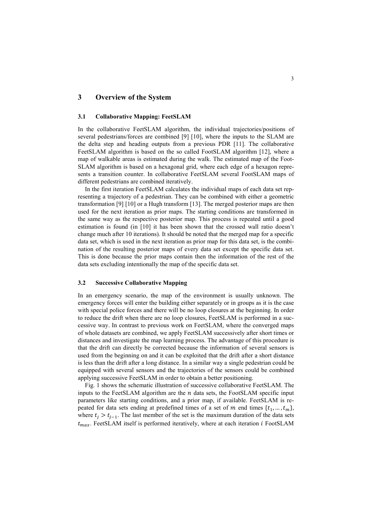## 3 Overview of the System

#### 3.1 Collaborative Mapping: FeetSLAM

In the collaborative FeetSLAM algorithm, the individual trajectories/positions of several pedestrians/forces are combined [9] [10], where the inputs to the SLAM are the delta step and heading outputs from a previous PDR [11]. The collaborative FeetSLAM algorithm is based on the so called FootSLAM algorithm [12], where a map of walkable areas is estimated during the walk. The estimated map of the Foot-SLAM algorithm is based on a hexagonal grid, where each edge of a hexagon represents a transition counter. In collaborative FeetSLAM several FootSLAM maps of different pedestrians are combined iteratively.

In the first iteration FeetSLAM calculates the individual maps of each data set representing a trajectory of a pedestrian. They can be combined with either a geometric transformation [9] [10] or a Hugh transform [13]. The merged posterior maps are then used for the next iteration as prior maps. The starting conditions are transformed in the same way as the respective posterior map. This process is repeated until a good estimation is found (in [10] it has been shown that the crossed wall ratio doesn't change much after 10 iterations). It should be noted that the merged map for a specific data set, which is used in the next iteration as prior map for this data set, is the combination of the resulting posterior maps of every data set except the specific data set. This is done because the prior maps contain then the information of the rest of the data sets excluding intentionally the map of the specific data set.

#### 3.2 Successive Collaborative Mapping

In an emergency scenario, the map of the environment is usually unknown. The emergency forces will enter the building either separately or in groups as it is the case with special police forces and there will be no loop closures at the beginning. In order to reduce the drift when there are no loop closures, FeetSLAM is performed in a successive way. In contrast to previous work on FeetSLAM, where the converged maps of whole datasets are combined, we apply FeetSLAM successively after short times or distances and investigate the map learning process. The advantage of this procedure is that the drift can directly be corrected because the information of several sensors is used from the beginning on and it can be exploited that the drift after a short distance is less than the drift after a long distance. In a similar way a single pedestrian could be equipped with several sensors and the trajectories of the sensors could be combined applying successive FeetSLAM in order to obtain a better positioning.

Fig. 1 shows the schematic illustration of successive collaborative FeetSLAM. The inputs to the FeetSLAM algorithm are the  $n$  data sets, the FootSLAM specific input parameters like starting conditions, and a prior map, if available. FeetSLAM is repeated for data sets ending at predefined times of a set of m end times  $\{t_1, ..., t_m\}$ , where  $t_i > t_{i-1}$ . The last member of the set is the maximum duration of the data sets  $t_{max}$ . FeetSLAM itself is performed iteratively, where at each iteration *i* FootSLAM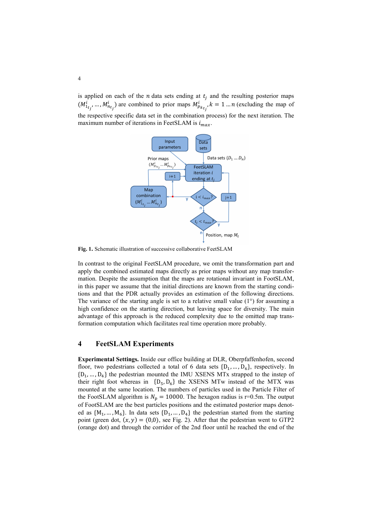is applied on each of the  $n$  data sets ending at  $t_i$  and the resulting posterior maps  $(M_1^i, \ldots, M_{n_{t_j}}^i)$  are combined to prior maps  $M_{p_{k_{t_j}}}^i, k = 1 \ldots n$  (excluding the map of the respective specific data set in the combination process) for the next iteration. The maximum number of iterations in FeetSLAM is  $i_{max}$ .



Fig. 1. Schematic illustration of successive collaborative FeetSLAM

In contrast to the original FeetSLAM procedure, we omit the transformation part and apply the combined estimated maps directly as prior maps without any map transformation. Despite the assumption that the maps are rotational invariant in FootSLAM, in this paper we assume that the initial directions are known from the starting conditions and that the PDR actually provides an estimation of the following directions. The variance of the starting angle is set to a relative small value  $(1^{\circ})$  for assuming a high confidence on the starting direction, but leaving space for diversity. The main advantage of this approach is the reduced complexity due to the omitted map transformation computation which facilitates real time operation more probably.

### 4 FeetSLAM Experiments

Experimental Settings. Inside our office building at DLR, Oberpfaffenhofen, second floor, two pedestrians collected a total of 6 data sets  $\{D_1, \ldots, D_6\}$ , respectively. In  ${D_1, ..., D_4}$  the pedestrian mounted the IMU XSENS MTx strapped to the instep of their right foot whereas in  ${D_5, D_6}$  the XSENS MTw instead of the MTX was mounted at the same location. The numbers of particles used in the Particle Filter of the FootSLAM algorithm is  $N_p = 10000$ . The hexagon radius is r=0.5m. The output of FootSLAM are the best particles positions and the estimated posterior maps denoted as  $\{M_1, \ldots, M_6\}$ . In data sets  $\{D_1, \ldots, D_4\}$  the pedestrian started from the starting point (green dot,  $(x, y) = (0, 0)$ , see Fig. 2). After that the pedestrian went to GTP2 (orange dot) and through the corridor of the 2nd floor until he reached the end of the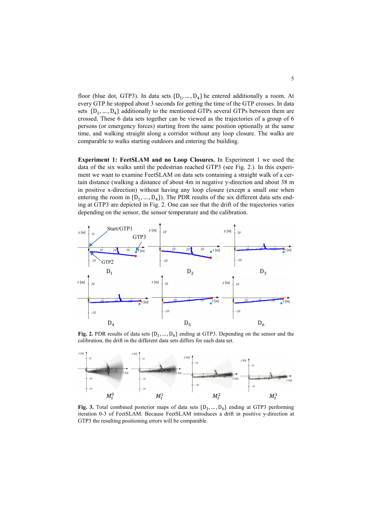floor (blue dot, GTP3). In data sets  $\{D_1, \ldots, D_4\}$  he entered additionally a room. At every GTP he stopped about 3 seconds for getting the time of the GTP crosses. In data sets  $\{D_1, \ldots, D_4\}$  additionally to the mentioned GTPs several GTPs between them are crossed. These 6 data sets together can be viewed as the trajectories of a group of 6 persons (or emergency forces) starting from the same position optionally at the same time, and walking straight along a corridor without any loop closure. The walks are comparable to walks starting outdoors and entering the building.

Experiment 1: FeetSLAM and no Loop Closures. In Experiment 1 we used the data of the six walks until the pedestrian reached GTP3 (see Fig. 2.). In this experiment we want to examine FeetSLAM on data sets containing a straight walk of a certain distance (walking a distance of about 4m in negative y-direction and about 38 m in positive x-direction) without having any loop closure (except a small one when entering the room in  $\{D_1, ..., D_4\}$ . The PDR results of the six different data sets ending at GTP3 are depicted in Fig. 2. One can see that the drift of the trajectories varies depending on the sensor, the sensor temperature and the calibration.



Fig. 2. PDR results of data sets  $\{D_1, \ldots, D_6\}$  ending at GTP3. Depending on the sensor and the calibration, the drift in the different data sets differs for each data set.



Fig. 3. Total combined posterior maps of data sets  $\{D_1, \ldots, D_6\}$  ending at GTP3 performing iteration 0-3 of FeetSLAM. Because FeetSLAM introduces a drift in positive y-direction at GTP3 the resulting positioning errors will be comparable.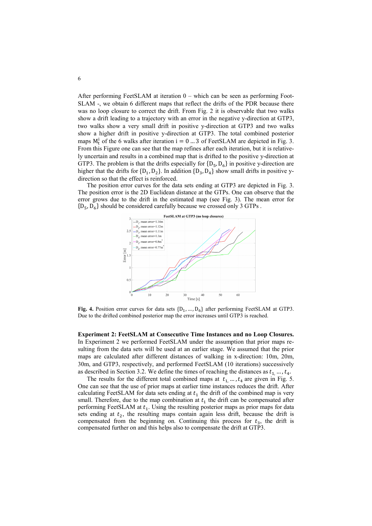After performing FeetSLAM at iteration 0 – which can be seen as performing Foot-SLAM -, we obtain 6 different maps that reflect the drifts of the PDR because there was no loop closure to correct the drift. From Fig. 2 it is observable that two walks show a drift leading to a trajectory with an error in the negative y-direction at GTP3, two walks show a very small drift in positive y-direction at GTP3 and two walks show a higher drift in positive y-direction at GTP3. The total combined posterior maps  $M_t^i$  of the 6 walks after iteration  $i = 0$  ... 3 of FeetSLAM are depicted in Fig. 3. From this Figure one can see that the map refines after each iteration, but it is relatively uncertain and results in a combined map that is drifted to the positive y-direction at GTP3. The problem is that the drifts especially for  $\{D_5, D_6\}$  in positive y-direction are higher that the drifts for  $\{D_1, D_2\}$ . In addition  $\{D_3, D_4\}$  show small drifts in positive ydirection so that the effect is reinforced.

The position error curves for the data sets ending at GTP3 are depicted in Fig. 3. The position error is the 2D Euclidean distance at the GTPs. One can observe that the error grows due to the drift in the estimated map (see Fig. 3). The mean error for  ${D_5, D_6}$  should be considered carefully because we crossed only 3 GTPs.



Fig. 4. Position error curves for data sets  $\{D_1, \ldots, D_6\}$  after performing FeetSLAM at GTP3. Due to the drifted combined posterior map the error increases until GTP3 is reached.

Experiment 2: FeetSLAM at Consecutive Time Instances and no Loop Closures. In Experiment 2 we performed FeetSLAM under the assumption that prior maps resulting from the data sets will be used at an earlier stage. We assumed that the prior maps are calculated after different distances of walking in x-direction: 10m, 20m, 30m, and GTP3, respectively, and performed FeetSLAM (10 iterations) successively as described in Section 3.2. We define the times of reaching the distances as  $t_1, ..., t_4$ .

The results for the different total combined maps at  $t_1, ..., t_4$  are given in Fig. 5. One can see that the use of prior maps at earlier time instances reduces the drift. After calculating FeetSLAM for data sets ending at  $t_1$  the drift of the combined map is very small. Therefore, due to the map combination at  $t_1$  the drift can be compensated after performing FeetSLAM at  $t_1$ . Using the resulting posterior maps as prior maps for data sets ending at  $t_2$ , the resulting maps contain again less drift, because the drift is compensated from the beginning on. Continuing this process for  $t_3$ , the drift is compensated further on and this helps also to compensate the drift at GTP3.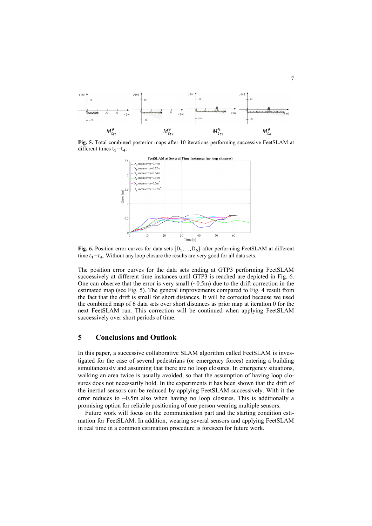

Fig. 5. Total combined posterior maps after 10 iterations performing successive FeetSLAM at different times  $t_1-t_4$ 



Fig. 6. Position error curves for data sets  $\{D_1, \ldots, D_6\}$  after performing FeetSLAM at different time  $t_1 - t_4$ . Without any loop closure the results are very good for all data sets.

The position error curves for the data sets ending at GTP3 performing FeetSLAM successively at different time instances until GTP3 is reached are depicted in Fig. 6. One can observe that the error is very small  $(\sim 0.5\text{m})$  due to the drift correction in the estimated map (see Fig. 5). The general improvements compared to Fig. 4 result from the fact that the drift is small for short distances. It will be corrected because we used the combined map of 6 data sets over short distances as prior map at iteration 0 for the next FeetSLAM run. This correction will be continued when applying FeetSLAM successively over short periods of time.

## 5 Conclusions and Outlook

In this paper, a successive collaborative SLAM algorithm called FeetSLAM is investigated for the case of several pedestrians (or emergency forces) entering a building simultaneously and assuming that there are no loop closures. In emergency situations, walking an area twice is usually avoided, so that the assumption of having loop closures does not necessarily hold. In the experiments it has been shown that the drift of the inertial sensors can be reduced by applying FeetSLAM successively. With it the error reduces to  $\sim 0.5$ m also when having no loop closures. This is additionally a promising option for reliable positioning of one person wearing multiple sensors.

Future work will focus on the communication part and the starting condition estimation for FeetSLAM. In addition, wearing several sensors and applying FeetSLAM in real time in a common estimation procedure is foreseen for future work.